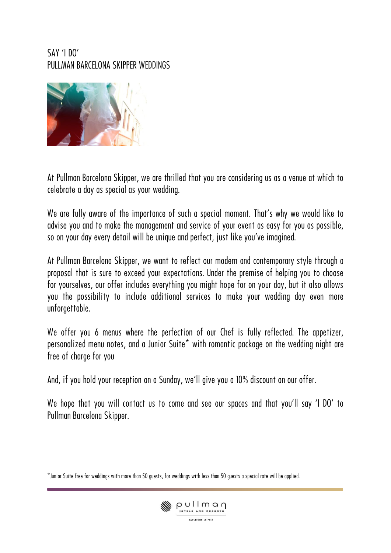### SAY 'I DO' PULLMAN BARCELONA SKIPPER WEDDINGS



At Pullman Barcelona Skipper, we are thrilled that you are considering us as a venue at which to celebrate a day as special as your wedding.

We are fully aware of the importance of such a special moment. That's why we would like to advise you and to make the management and service of your event as easy for you as possible, so on your day every detail will be unique and perfect, just like you've imagined.

At Pullman Barcelona Skipper, we want to reflect our modern and contemporary style through a proposal that is sure to exceed your expectations. Under the premise of helping you to choose for yourselves, our offer includes everything you might hope for on your day, but it also allows you the possibility to include additional services to make your wedding day even more unforgettable.

We offer you 6 menus where the perfection of our Chef is fully reflected. The appetizer, personalized menu notes, and a Junior Suite\* with romantic package on the wedding night are free of charge for you

And, if you hold your reception on a Sunday, we'll give you a 10% discount on our offer.

We hope that you will contact us to come and see our spaces and that you'll say 'I DO' to Pullman Barcelona Skipper.

<sup>\*</sup>Junior Suite free for weddings with more than 50 guests, for weddings with less than 50 guests a special rate will be applied.

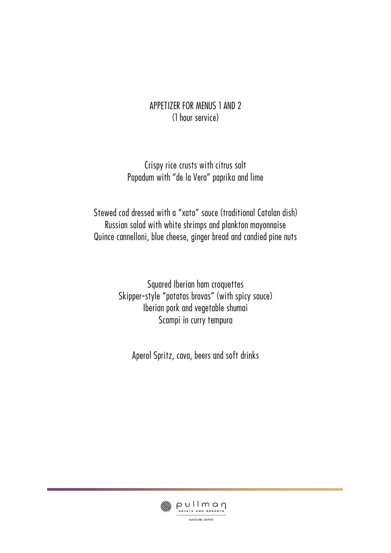### APPETIZER FOR MENUS 1 AND 2 (1 hour service)

### Crispy rice crusts with citrus salt Papadum with "de la Vera" paprika and lime

Stewed cod dressed with a "xato" sauce (traditional Catalan dish) Russian salad with white shrimps and plankton mayonnaise Quince cannelloni, blue cheese, ginger bread and candied pine nuts

> Squared Iberian ham croquettes Skipper-style "patatas bravas" (with spicy sauce) Iberian pork and vegetable shumai Scampi in curry tempura

Aperol Spritz, cava, beers and soft drinks

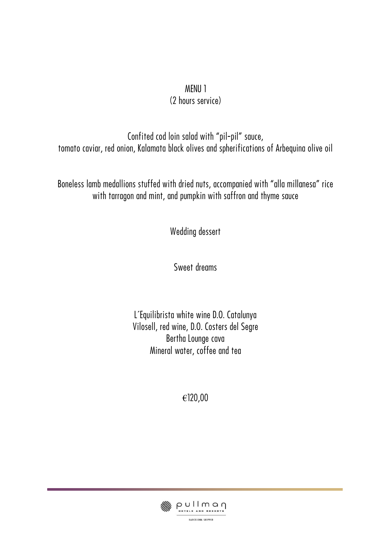# MENU 1

# (2 hours service)

Confited cod loin salad with "pil-pil" sauce, tomato caviar, red onion, Kalamata black olives and spherifications of Arbequina olive oil

Boneless lamb medallions stuffed with dried nuts, accompanied with "alla millanesa" rice with tarragon and mint, and pumpkin with saffron and thyme sauce

Wedding dessert

Sweet dreams

L´Equilibrista white wine D.O. Catalunya Vilosell, red wine, D.O. Costers del Segre Bertha Lounge cava Mineral water, coffee and tea

€120,00

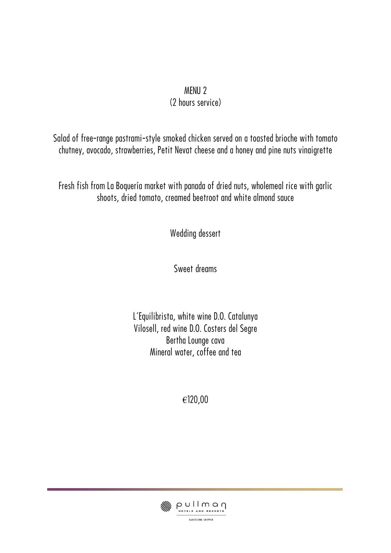#### MENU 2 (2 hours service)

Salad of free-range pastrami-style smoked chicken served on a toasted brioche with tomato chutney, avocado, strawberries, Petit Nevat cheese and a honey and pine nuts vinaigrette

Fresh fish from La Boquería market with panada of dried nuts, wholemeal rice with garlic shoots, dried tomato, creamed beetroot and white almond sauce

Wedding dessert

Sweet dreams

L´Equilibrista, white wine D.O. Catalunya Vilosell, red wine D.O. Costers del Segre Bertha Lounge cava Mineral water, coffee and tea

€120,00

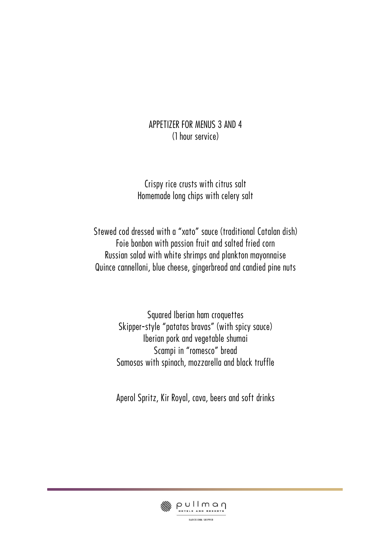#### APPETIZER FOR MENUS 3 AND 4 (1 hour service)

Crispy rice crusts with citrus salt Homemade long chips with celery salt

Stewed cod dressed with a "xato" sauce (traditional Catalan dish) Foie bonbon with passion fruit and salted fried corn Russian salad with white shrimps and plankton mayonnaise Quince cannelloni, blue cheese, gingerbread and candied pine nuts

> Squared Iberian ham croquettes Skipper-style "patatas bravas" (with spicy sauce) Iberian pork and vegetable shumai Scampi in "romesco" bread Samosas with spinach, mozzarella and black truffle

> Aperol Spritz, Kir Royal, cava, beers and soft drinks

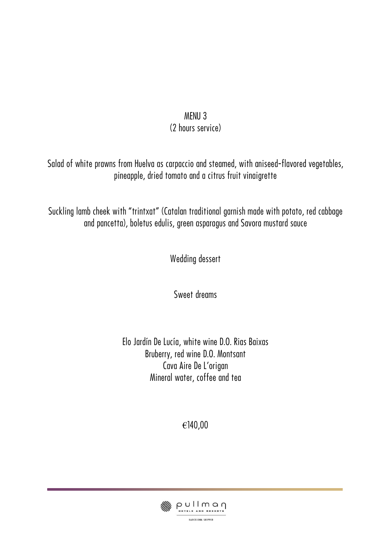### MENU 3 (2 hours service)

Salad of white prawns from Huelva as carpaccio and steamed, with aniseed-flavored vegetables, pineapple, dried tomato and a citrus fruit vinaigrette

Suckling lamb cheek with "trintxat" (Catalan traditional garnish made with potato, red cabbage and pancetta), boletus edulis, green asparagus and Savora mustard sauce

Wedding dessert

Sweet dreams

Elo Jardín De Lucía, white wine D.O. Rias Baixas Bruberry, red wine D.O. Montsant Cava Aire De L'origan Mineral water, coffee and tea

€140,00

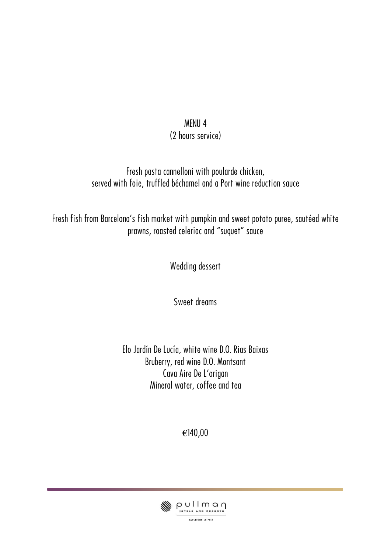#### MENU 4 (2 hours service)

### Fresh pasta cannelloni with poularde chicken, served with foie, truffled béchamel and a Port wine reduction sauce

Fresh fish from Barcelona's fish market with pumpkin and sweet potato puree, sautéed white prawns, roasted celeriac and "suquet" sauce

Wedding dessert

Sweet dreams

Elo Jardín De Lucía, white wine D.O. Rias Baixas Bruberry, red wine D.O. Montsant Cava Aire De L'origan Mineral water, coffee and tea

€140,00

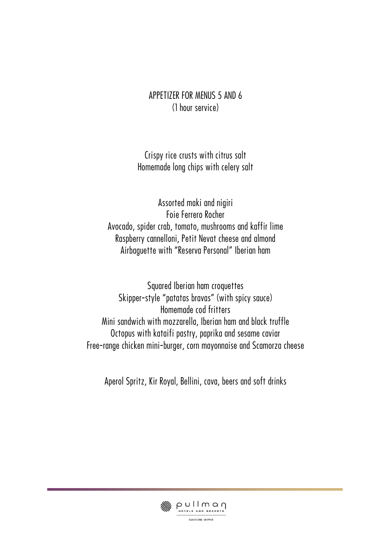#### APPETIZER FOR MENUS 5 AND 6 (1 hour service)

Crispy rice crusts with citrus salt Homemade long chips with celery salt

Assorted maki and nigiri Foie Ferrero Rocher Avocado, spider crab, tomato, mushrooms and kaffir lime Raspberry cannelloni, Petit Nevat cheese and almond Airbaguette with "Reserva Personal" Iberian ham

Squared Iberian ham croquettes Skipper-style "patatas bravas" (with spicy sauce) Homemade cod fritters Mini sandwich with mozzarella, Iberian ham and black truffle Octopus with kataifi pastry, paprika and sesame caviar Free-range chicken mini-burger, corn mayonnaise and Scamorza cheese

Aperol Spritz, Kir Royal, Bellini, cava, beers and soft drinks

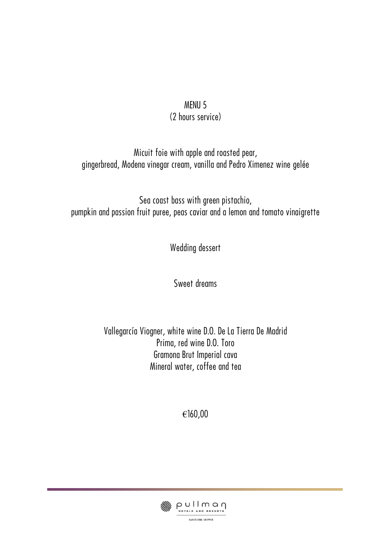#### MENU 5 (2 hours service)

Micuit foie with apple and roasted pear, gingerbread, Modena vinegar cream, vanilla and Pedro Ximenez wine gelée

Sea coast bass with green pistachio, pumpkin and passion fruit puree, peas caviar and a lemon and tomato vinaigrette

Wedding dessert

Sweet dreams

Vallegarcía Viogner, white wine D.O. De La Tierra De Madrid Prima, red wine D.O. Toro Gramona Brut Imperial cava Mineral water, coffee and tea

€160,00

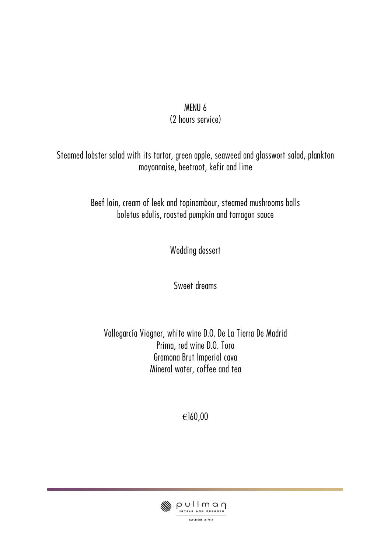#### MENU 6 (2 hours service)

Steamed lobster salad with its tartar, green apple, seaweed and glasswort salad, plankton mayonnaise, beetroot, kefir and lime

> Beef loin, cream of leek and topinambour, steamed mushrooms balls boletus edulis, roasted pumpkin and tarragon sauce

> > Wedding dessert

Sweet dreams

Vallegarcía Viogner, white wine D.O. De La Tierra De Madrid Prima, red wine D.O. Toro Gramona Brut Imperial cava Mineral water, coffee and tea

€160,00

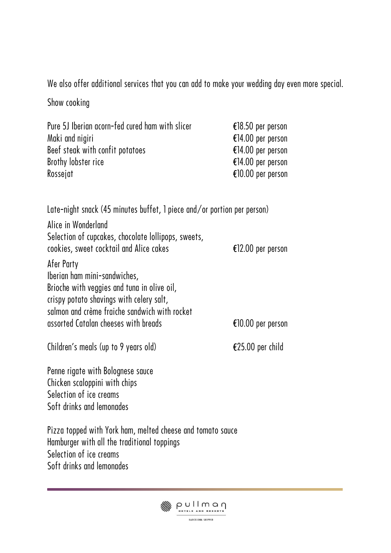We also offer additional services that you can add to make your wedding day even more special.

Show cooking

| Pure 5J Iberian acorn-fed cured ham with slicer<br>Maki and nigiri<br>Beef steak with confit potatoes<br>Brothy lobster rice<br>Rossejat                                               | €18.50 per person<br>€14.00 per person<br>€14.00 per person<br>€14.00 per person<br>€10.00 per person |  |
|----------------------------------------------------------------------------------------------------------------------------------------------------------------------------------------|-------------------------------------------------------------------------------------------------------|--|
| Late-night snack (45 minutes buffet, 1 piece and/or portion per person)<br>Alice in Wonderland<br>Selection of cupcakes, chocolate lollipops, sweets,                                  |                                                                                                       |  |
| cookies, sweet cocktail and Alice cakes                                                                                                                                                | €12.00 per person                                                                                     |  |
| Afer Party<br>Iberian ham mini-sandwiches,<br>Brioche with veggies and tuna in olive oil,<br>crispy potato shavings with celery salt,<br>salmon and crème fraiche sandwich with rocket |                                                                                                       |  |
| assorted Catalan cheeses with breads                                                                                                                                                   | €10.00 per person                                                                                     |  |
| Children's meals (up to 9 years old)                                                                                                                                                   | €25.00 per child                                                                                      |  |
| Penne rigate with Bolognese sauce<br>Chicken scaloppini with chips<br>Selection of ice creams<br>Soft drinks and lemonades                                                             |                                                                                                       |  |
| Pizza topped with York ham, melted cheese and tomato sauce<br>Hamburger with all the traditional toppings<br>Selection of ice creams<br>Soft drinks and lemonades                      |                                                                                                       |  |

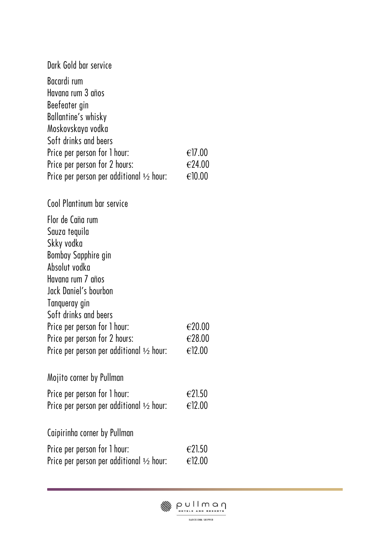| Dark Gold bar service                               |                  |
|-----------------------------------------------------|------------------|
| Bacardi rum                                         |                  |
| Havana rum 3 años                                   |                  |
| Beefeater gin                                       |                  |
| Ballantine's whisky                                 |                  |
| Moskovskaya vodka                                   |                  |
| Soft drinks and beers                               |                  |
| Price per person for 1 hour:                        | €17.00           |
| Price per person for 2 hours:                       | €24.00           |
| Price per person per additional $\frac{1}{2}$ hour: | €10.00           |
| Cool Plantinum bar service                          |                  |
| Flor de Caña rum                                    |                  |
| Sauza tequila                                       |                  |
| Skky vodka                                          |                  |
| Bombay Sapphire gin                                 |                  |
| Absolut vodka                                       |                  |
| Havana rum 7 años                                   |                  |
| Jack Daniel's bourbon                               |                  |
| Tanqueray gin                                       |                  |
| Soft drinks and beers                               |                  |
| Price per person for 1 hour:                        | €20.00           |
| Price per person for 2 hours:                       | €28.00           |
| Price per person per additional $\frac{1}{2}$ hour: | €12.00           |
| Mojito corner by Pullman                            |                  |
| Price per person for 1 hour:                        | $\epsilon$ 21.50 |
| Price per person per additional $\frac{1}{2}$ hour: | €12.00           |
| Caipirinha corner by Pullman                        |                  |
| Price per person for 1 hour:                        | $\epsilon$ 21.50 |
| Price per person per additional $\frac{1}{2}$ hour: | €12.00           |
|                                                     |                  |